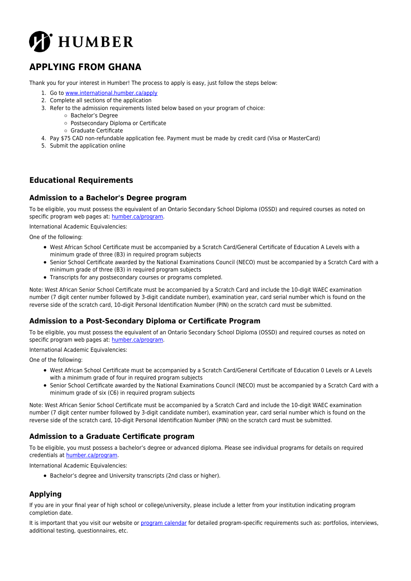

# **APPLYING FROM GHANA**

Thank you for your interest in Humber! The process to apply is easy, just follow the steps below:

- 1. Go to [www.international.humber.ca/apply](http://www.international.humber.ca/apply)
- 2. Complete all sections of the application
- 3. Refer to the admission requirements listed below based on your program of choice:
	- Bachelor's Degree
		- Postsecondary Diploma or Certificate
		- Graduate Certificate
- 4. Pay \$75 CAD non-refundable application fee. Payment must be made by credit card (Visa or MasterCard)
- 5. Submit the application online

## **Educational Requirements**

#### **Admission to a Bachelor's Degree program**

To be eligible, you must possess the equivalent of an Ontario Secondary School Diploma (OSSD) and required courses as noted on specific program web pages at: [humber.ca/program](http://humber.ca/program).

International Academic Equivalencies:

One of the following:

- West African School Certificate must be accompanied by a Scratch Card/General Certificate of Education A Levels with a minimum grade of three (B3) in required program subjects
- Senior School Certificate awarded by the National Examinations Council (NECO) must be accompanied by a Scratch Card with a minimum grade of three (B3) in required program subjects
- Transcripts for any postsecondary courses or programs completed.

Note: West African Senior School Certificate must be accompanied by a Scratch Card and include the 10-digit WAEC examination number (7 digit center number followed by 3-digit candidate number), examination year, card serial number which is found on the reverse side of the scratch card, 10-digit Personal Identification Number (PIN) on the scratch card must be submitted.

#### **Admission to a Post-Secondary Diploma or Certificate Program**

To be eligible, you must possess the equivalent of an Ontario Secondary School Diploma (OSSD) and required courses as noted on specific program web pages at: [humber.ca/program](http://humber.ca/program).

International Academic Equivalencies:

One of the following:

- West African School Certificate must be accompanied by a Scratch Card/General Certificate of Education 0 Levels or A Levels with a minimum grade of four in required program subjects
- Senior School Certificate awarded by the National Examinations Council (NECO) must be accompanied by a Scratch Card with a minimum grade of six (C6) in required program subjects

Note: West African Senior School Certificate must be accompanied by a Scratch Card and include the 10-digit WAEC examination number (7 digit center number followed by 3-digit candidate number), examination year, card serial number which is found on the reverse side of the scratch card, 10-digit Personal Identification Number (PIN) on the scratch card must be submitted.

#### **Admission to a Graduate Certificate program**

To be eligible, you must possess a bachelor's degree or advanced diploma. Please see individual programs for details on required credentials at [humber.ca/program](http://humber.ca/program).

International Academic Equivalencies:

Bachelor's degree and University transcripts (2nd class or higher).

## **Applying**

If you are in your final year of high school or college/university, please include a letter from your institution indicating program completion date.

It is important that you visit our website or [program calendar](http://humber.ca/program.html) for detailed program-specific requirements such as: portfolios, interviews, additional testing, questionnaires, etc.